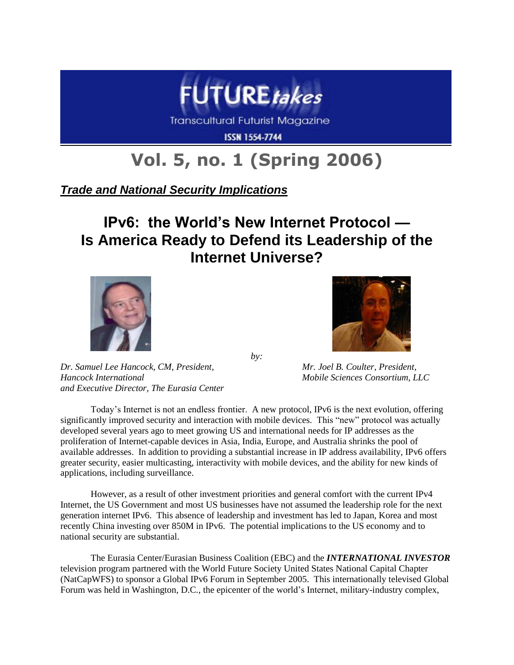

Transcultural Futurist Magazine

**ISSN 1554-7744** 

# **Vol. 5, no. 1 (Spring 2006)**

### *Trade and National Security Implications*

## **IPv6: the World's New Internet Protocol — Is America Ready to Defend its Leadership of the Internet Universe?**





*by:*

*Dr. Samuel Lee Hancock, CM, President, Mr. Joel B. Coulter, President, Hancock International Mobile Sciences Consortium, LLC and Executive Director, The Eurasia Center*

Today"s Internet is not an endless frontier. A new protocol, IPv6 is the next evolution, offering significantly improved security and interaction with mobile devices. This "new" protocol was actually developed several years ago to meet growing US and international needs for IP addresses as the proliferation of Internet-capable devices in Asia, India, Europe, and Australia shrinks the pool of available addresses. In addition to providing a substantial increase in IP address availability, IPv6 offers greater security, easier multicasting, interactivity with mobile devices, and the ability for new kinds of applications, including surveillance.

However, as a result of other investment priorities and general comfort with the current IPv4 Internet, the US Government and most US businesses have not assumed the leadership role for the next generation internet IPv6. This absence of leadership and investment has led to Japan, Korea and most recently China investing over 850M in IPv6. The potential implications to the US economy and to national security are substantial.

The Eurasia Center/Eurasian Business Coalition (EBC) and the *INTERNATIONAL INVESTOR* television program partnered with the World Future Society United States National Capital Chapter (NatCapWFS) to sponsor a Global IPv6 Forum in September 2005. This internationally televised Global Forum was held in Washington, D.C., the epicenter of the world"s Internet, military-industry complex,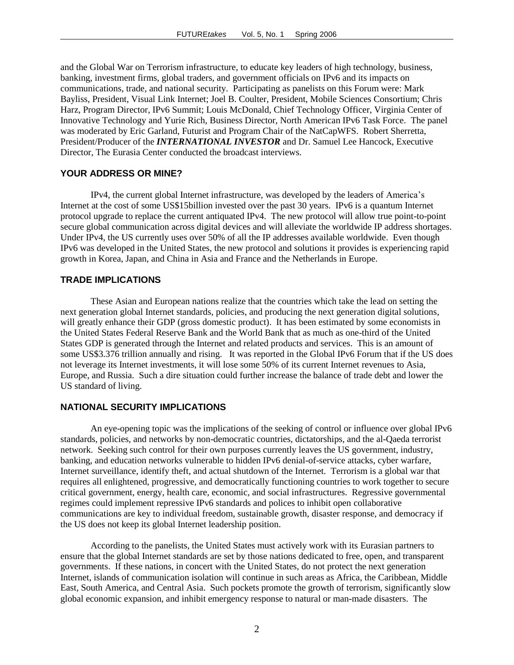and the Global War on Terrorism infrastructure, to educate key leaders of high technology, business, banking, investment firms, global traders, and government officials on IPv6 and its impacts on communications, trade, and national security. Participating as panelists on this Forum were: Mark Bayliss, President, Visual Link Internet; Joel B. Coulter, President, Mobile Sciences Consortium; Chris Harz, Program Director, IPv6 Summit; Louis McDonald, Chief Technology Officer, Virginia Center of Innovative Technology and Yurie Rich, Business Director, North American IPv6 Task Force. The panel was moderated by Eric Garland, Futurist and Program Chair of the NatCapWFS. Robert Sherretta, President/Producer of the *INTERNATIONAL INVESTOR* and Dr. Samuel Lee Hancock, Executive Director, The Eurasia Center conducted the broadcast interviews.

#### **YOUR ADDRESS OR MINE?**

IPv4, the current global Internet infrastructure, was developed by the leaders of America"s Internet at the cost of some US\$15billion invested over the past 30 years. IPv6 is a quantum Internet protocol upgrade to replace the current antiquated IPv4. The new protocol will allow true point-to-point secure global communication across digital devices and will alleviate the worldwide IP address shortages. Under IPv4, the US currently uses over 50% of all the IP addresses available worldwide. Even though IPv6 was developed in the United States, the new protocol and solutions it provides is experiencing rapid growth in Korea, Japan, and China in Asia and France and the Netherlands in Europe.

#### **TRADE IMPLICATIONS**

These Asian and European nations realize that the countries which take the lead on setting the next generation global Internet standards, policies, and producing the next generation digital solutions, will greatly enhance their GDP (gross domestic product). It has been estimated by some economists in the United States Federal Reserve Bank and the World Bank that as much as one-third of the United States GDP is generated through the Internet and related products and services. This is an amount of some US\$3.376 trillion annually and rising. It was reported in the Global IPv6 Forum that if the US does not leverage its Internet investments, it will lose some 50% of its current Internet revenues to Asia, Europe, and Russia. Such a dire situation could further increase the balance of trade debt and lower the US standard of living.

#### **NATIONAL SECURITY IMPLICATIONS**

An eye-opening topic was the implications of the seeking of control or influence over global IPv6 standards, policies, and networks by non-democratic countries, dictatorships, and the al-Qaeda terrorist network. Seeking such control for their own purposes currently leaves the US government, industry, banking, and education networks vulnerable to hidden IPv6 denial-of-service attacks, cyber warfare, Internet surveillance, identify theft, and actual shutdown of the Internet. Terrorism is a global war that requires all enlightened, progressive, and democratically functioning countries to work together to secure critical government, energy, health care, economic, and social infrastructures. Regressive governmental regimes could implement repressive IPv6 standards and polices to inhibit open collaborative communications are key to individual freedom, sustainable growth, disaster response, and democracy if the US does not keep its global Internet leadership position.

According to the panelists, the United States must actively work with its Eurasian partners to ensure that the global Internet standards are set by those nations dedicated to free, open, and transparent governments. If these nations, in concert with the United States, do not protect the next generation Internet, islands of communication isolation will continue in such areas as Africa, the Caribbean, Middle East, South America, and Central Asia. Such pockets promote the growth of terrorism, significantly slow global economic expansion, and inhibit emergency response to natural or man-made disasters. The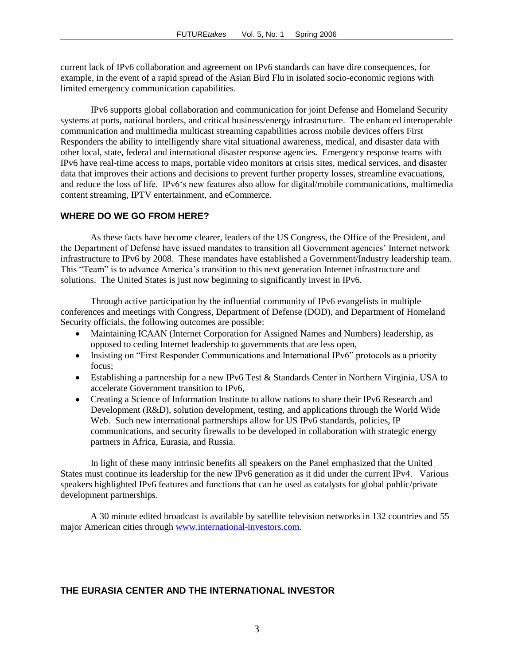current lack of IPv6 collaboration and agreement on IPv6 standards can have dire consequences, for example, in the event of a rapid spread of the Asian Bird Flu in isolated socio-economic regions with limited emergency communication capabilities.

IPv6 supports global collaboration and communication for joint Defense and Homeland Security systems at ports, national borders, and critical business/energy infrastructure. The enhanced interoperable communication and multimedia multicast streaming capabilities across mobile devices offers First Responders the ability to intelligently share vital situational awareness, medical, and disaster data with other local, state, federal and international disaster response agencies. Emergency response teams with IPv6 have real-time access to maps, portable video monitors at crisis sites, medical services, and disaster data that improves their actions and decisions to prevent further property losses, streamline evacuations, and reduce the loss of life. IPv6"s new features also allow for digital/mobile communications, multimedia content streaming, IPTV entertainment, and eCommerce.

#### **WHERE DO WE GO FROM HERE?**

As these facts have become clearer, leaders of the US Congress, the Office of the President, and the Department of Defense have issued mandates to transition all Government agencies" Internet network infrastructure to IPv6 by 2008. These mandates have established a Government/Industry leadership team. This "Team" is to advance America"s transition to this next generation Internet infrastructure and solutions. The United States is just now beginning to significantly invest in IPv6.

Through active participation by the influential community of IPv6 evangelists in multiple conferences and meetings with Congress, Department of Defense (DOD), and Department of Homeland Security officials, the following outcomes are possible:

- Maintaining ICAAN (Internet Corporation for Assigned Names and Numbers) leadership, as opposed to ceding Internet leadership to governments that are less open,
- Insisting on "First Responder Communications and International IPv6" protocols as a priority focus;
- Establishing a partnership for a new IPv6 Test & Standards Center in Northern Virginia, USA to accelerate Government transition to IPv6,
- Creating a Science of Information Institute to allow nations to share their IPv6 Research and Development (R&D), solution development, testing, and applications through the World Wide Web. Such new international partnerships allow for US IPv6 standards, policies, IP communications, and security firewalls to be developed in collaboration with strategic energy partners in Africa, Eurasia, and Russia.

In light of these many intrinsic benefits all speakers on the Panel emphasized that the United States must continue its leadership for the new IPv6 generation as it did under the current IPv4. Various speakers highlighted IPv6 features and functions that can be used as catalysts for global public/private development partnerships.

A 30 minute edited broadcast is available by satellite television networks in 132 countries and 55 major American cities through [www.international-investors.com.](http://www.international-investors.com/)

#### **THE EURASIA CENTER AND THE INTERNATIONAL INVESTOR**